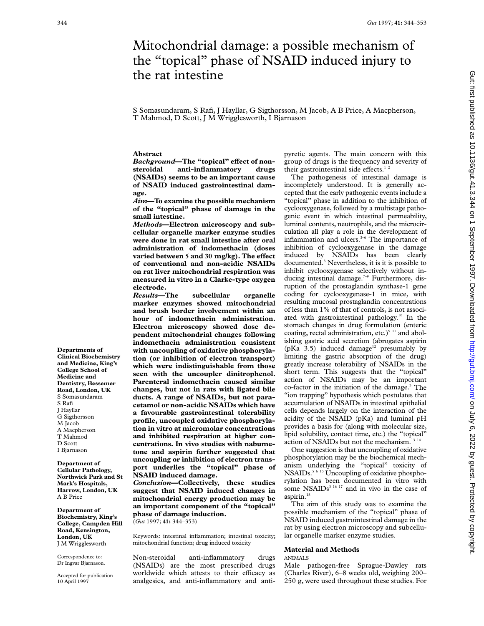# Mitochondrial damage: a possible mechanism of the "topical" phase of NSAID induced injury to the rat intestine

S Somasundaram, S Rafi, J Hayllar, G Sigthorsson, M Jacob, A B Price, A Macpherson, T Mahmod, D Scott, J M Wrigglesworth, I Bjarnason

#### **Abstract**

*Background*—The "topical" effect of non-<br>steroidal anti-inflammatory drugs **steroidal anti-inflammatory drugs (NSAIDs) seems to be an important cause of NSAID induced gastrointestinal damage.**

*Aim***—To examine the possible mechanism of the "topical" phase of damage in the small intestine.**

*Methods***—Electron microscopy and subcellular organelle marker enzyme studies were done in rat small intestine after oral administration of indomethacin (doses varied between 5 and 30 mg/kg). The effect of conventional and non-acidic NSAIDs on rat liver mitochondrial respiration was measured in vitro in a Clarke-type oxygen electrode.**

*Results***—The subcellular organelle marker enzymes showed mitochondrial and brush border involvement within an hour of indomethacin administration. Electron microscopy showed dose dependent mitochondrial changes following indomethacin administration consistent with uncoupling of oxidative phosphorylation (or inhibition of electron transport) which were indistinguishable from those seen with the uncoupler dinitrophenol. Parenteral indomethacin caused similar changes, but not in rats with ligated bile ducts. A range of NSAIDs, but not paracetamol or non-acidic NSAIDs which have a favourable gastrointestinal tolerability profile, uncoupled oxidative phosphorylation in vitro at micromolar concentrations and inhibited respiration at higher concentrations. In vivo studies with nabumetone and aspirin further suggested that uncoupling or inhibition of electron transport underlies the "topical" phase of NSAID induced damage.**

*Conclusion***—Collectively, these studies suggest that NSAID induced changes in mitochondrial energy production may be an important component of the "topical" phase of damage induction.** (*Gut* 1997; **41:** 344–353)

Keywords: intestinal inflammation; intestinal toxicity; mitochondrial function; drug induced toxicity

Non-steroidal anti-inflammatory drugs (NSAIDs) are the most prescribed drugs worldwide which attests to their efficacy as analgesics, and anti-inflammatory and antipyretic agents. The main concern with this group of drugs is the frequency and severity of their gastrointestinal side effects.<sup>12</sup>

The pathogenesis of intestinal damage is incompletely understood. It is generally accepted that the early pathogenic events include a "topical" phase in addition to the inhibition of cyclooxygenase, followed by a multistage pathogenic event in which intestinal permeability, luminal contents, neutrophils, and the microcirculation all play a role in the development of inflammation and ulcers.<sup>3-6</sup> The importance of inhibition of cyclooxygenase in the damage induced by NSAIDs has been clearly documented.3 Nevertheless, it is it is possible to inhibit cyclooxygenase selectively without inducing intestinal damage.<sup>7-9</sup> Furthermore, disruption of the prostaglandin synthase-1 gene coding for cyclooxygenase-1 in mice, with resulting mucosal prostaglandin concentrations of less than 1% of that of controls, is not associated with gastrointestinal pathology.10 In the stomach changes in drug formulation (enteric coating, rectal administration, etc.) $911$  and abolishing gastric acid secretion (abrogates aspirin (pKa  $3.5$ ) induced damage<sup>12</sup> presumably by limiting the gastric absorption of the drug) greatly increase tolerability of NSAIDs in the short term. This suggests that the "topical" action of NSAIDs may be an important co-factor in the initiation of the damage.<sup>3</sup> The "ion trapping" hypothesis which postulates that accumulation of NSAIDs in intestinal epithelial cells depends largely on the interaction of the acidity of the NSAID (pKa) and luminal pH provides a basis for (along with molecular size, lipid solubility, contact time, etc.) the "topical" action of NSAIDs but not the mechanism.<sup>13 14</sup>

One suggestion is that uncoupling of oxidative phosphorylation may be the biochemical mechanism underlying the "topical" toxicity of NSAIDs.<sup>5 6 15</sup> Uncoupling of oxidative phosphorylation has been documented in vitro with some  $NSAIDs<sup>3 16 17</sup>$  and in vivo in the case of aspirin.<sup>18</sup>

The aim of this study was to examine the possible mechanism of the "topical" phase of NSAID induced gastrointestinal damage in the rat by using electron microscopy and subcellular organelle marker enzyme studies.

#### **Material and Methods**

## ANIMALS

Male pathogen-free Sprague-Dawley rats (Charles River), 6–8 weeks old, weighing 200– 250 g, were used throughout these studies. For

**Departments of Clinical Biochemistry and Medicine, King's College School of Medicine and Dentistry, Bessemer Road, London, UK** S Somasundaram S Rafi J Hayllar G Sigthorsson M Jacob A Macpherson T Mahmod D Scott I Bjarnason

**Department of Cellular Pathology, Northwick Park and St Mark's Hospitals, Harrow, London, UK** A B Price

**Department of Biochemistry, King's College, Campden Hill Road, Kensington, London, UK** J M Wrigglesworth

Correspondence to: Dr Ingvar Bjarnason.

Accepted for publication 10 April 1997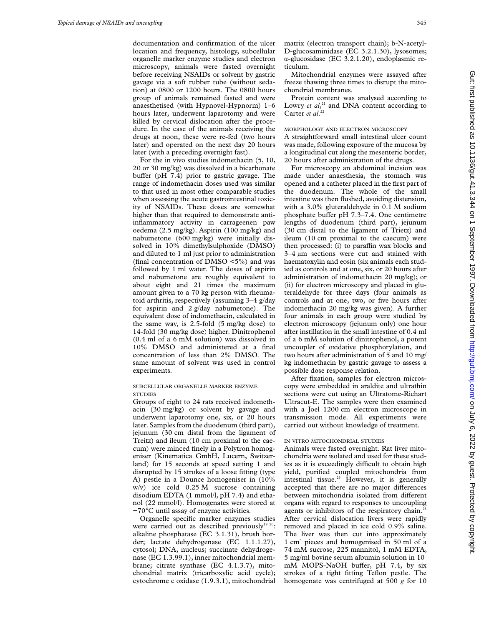documentation and confirmation of the ulcer location and frequency, histology, subcellular organelle marker enzyme studies and electron microscopy, animals were fasted overnight before receiving NSAIDs or solvent by gastric gavage via a soft rubber tube (without sedation) at 0800 or 1200 hours. The 0800 hours group of animals remained fasted and were anaesthetised (with Hypnovel-Hypnorm) 1–6 hours later, underwent laparotomy and were killed by cervical dislocation after the procedure. In the case of the animals receiving the drugs at noon, these were re-fed (two hours later) and operated on the next day 20 hours later (with a preceding overnight fast).

For the in vivo studies indomethacin (5, 10, 20 or 30 mg/kg) was dissolved in a bicarbonate buffer (pH  $7.4$ ) prior to gastric gavage. The range of indomethacin doses used was similar to that used in most other comparable studies when assessing the acute gastrointestinal toxicity of NSAIDs. These doses are somewhat higher than that required to demonstrate antiinflammatory activity in carrageenen paw oedema (2.5 mg/kg). Aspirin (100 mg/kg) and nabumetone (600 mg/kg) were initially dissolved in 10% dimethylsulphoxide (DMSO) and diluted to 1 ml just prior to administration (final concentration of DMSO <5%) and was followed by 1 ml water. The doses of aspirin and nabumetone are roughly equivalent to about eight and 21 times the maximum amount given to a 70 kg person with rheumatoid arthritis, respectively (assuming 3–4 g/day for aspirin and 2 g/day nabumetone). The equivalent dose of indomethacin, calculated in the same way, is 2.5-fold (5 mg/kg dose) to 14-fold (30 mg/kg dose) higher. Dinitrophenol (0.4 ml of a 6 mM solution) was dissolved in 10% DMSO and administered at a final concentration of less than 2% DMSO. The same amount of solvent was used in control experiments.

# SUBCELLULAR ORGANELLE MARKER ENZYME **STUDIES**

Groups of eight to 24 rats received indomethacin (30 mg/kg) or solvent by gavage and underwent laparotomy one, six, or 20 hours later. Samples from the duodenum (third part), jejunum (30 cm distal from the ligament of Treitz) and ileum (10 cm proximal to the caecum) were minced finely in a Polytron homogeniser (Kinematica GmbH, Lucern, Switzerland) for 15 seconds at speed setting 1 and disrupted by 15 strokes of a loose fitting (type A) pestle in a Dounce homogeniser in (10% w/v) ice cold 0.25 M sucrose containing disodium EDTA (1 mmol/l, pH 7.4) and ethanol (22 mmol/l). Homogenates were stored at −70°C until assay of enzyme activities.

Organelle specific marker enzymes studies were carried out as described previously<sup>19 20</sup>: alkaline phosphatase (EC 3.1.31), brush border; lactate dehydrogenase (EC 1.1.1.27), cytosol; DNA, nucleus; succinate dehydrogenase (EC 1.3.99.1), inner mitochondrial membrane; citrate synthase (EC 4.1.3.7), mitochondrial matrix (tricarboxylic acid cycle); cytochrome c oxidase (1.9.3.1), mitochondrial matrix (electron transport chain); b-N-acetyl-D-glucosaminidase (EC 3.2.1.30), lysosomes; á-glucosidase (EC 3.2.1.20), endoplasmic reticulum.

Mitochondrial enzymes were assayed after freeze thawing three times to disrupt the mitochondrial membranes.

Protein content was analysed according to Lowry *et al*,<sup>21</sup> and DNA content according to Carter *et al*. 22

## MORPHOLOGY AND ELECTRON MICROSCOPY

A straightforward small intestinal ulcer count was made, following exposure of the mucosa by a longitudinal cut along the mesenteric border, 20 hours after administration of the drugs.

For microscopy an abdominal incision was made under anaesthesia, the stomach was opened and a catheter placed in the first part of the duodenum. The whole of the small intestine was then flushed, avoiding distension, with a 3.0% gluteraldehyde in 0.1 M sodium phosphate buffer pH  $7.3-7.4$ . One centimetre lengths of duodenum (third part), jejunum (30 cm distal to the ligament of Trietz) and ileum (10 cm proximal to the caecum) were then processed: (i) to paraffin wax blocks and 3–4 µm sections were cut and stained with haematoxylin and eosin (six animals each studied as controls and at one, six, or 20 hours after administration of indomethacin 20 mg/kg); or (ii) for electron microscopy and placed in gluteraldehyde for three days (four animals as controls and at one, two, or five hours after indomethacin 20 mg/kg was given). A further four animals in each group were studied by electron microscopy (jejunum only) one hour after instillation in the small intestine of 0.4 ml of a 6 mM solution of dinitrophenol, a potent uncoupler of oxidative phosphorylation, and two hours after administration of 5 and 10 mg/ kg indomethacin by gastric gavage to assess a possible dose response relation.

After fixation, samples for electron microscopy were embedded in araldite and ultrathin sections were cut using an Ultratome-Richart Ultracut-E. The samples were then examined with a Joel 1200 cm electron microscope in transmission mode. All experiments were carried out without knowledge of treatment.

## IN VITRO MITOCHONDRIAL STUDIES

Animals were fasted overnight. Rat liver mitochondria were isolated and used for these studies as it is exceedingly difficult to obtain high yield, purified coupled mitochondria from intestinal tissue.<sup>23</sup> However, it is generally accepted that there are no major differences between mitochondria isolated from different organs with regard to responses to uncoupling agents or inhibitors of the respiratory chain.<sup>23</sup> After cervical dislocation livers were rapidly removed and placed in ice cold 0.9% saline. The liver was then cut into approximately 1 cm3 pieces and homogenised in 50 ml of a 74 mM sucrose, 225 mannitol, 1 mM EDTA, 5 mg/ml bovine serum albumin solution in 10 mM MOPS-NaOH buffer, pH 7.4, by six strokes of a tight fitting Teflon pestle. The homogenate was centrifuged at 500 *g* for 10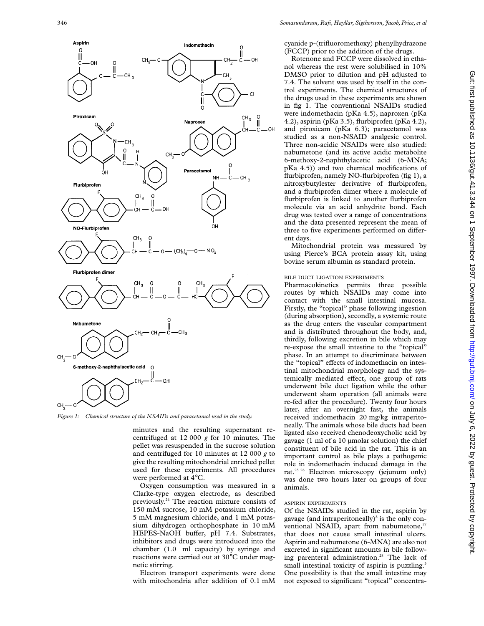

*Figure 1: Chemical structure of the NSAIDs and paracetamol used in the study.*

minutes and the resulting supernatant recentrifuged at 12 000 *g* for 10 minutes. The pellet was resuspended in the sucrose solution and centrifuged for 10 minutes at 12 000 *g* to give the resulting mitochondrial enriched pellet used for these experiments. All procedures were performed at 4°C.

Oxygen consumption was measured in a Clarke-type oxygen electrode, as described previously.24 The reaction mixture consists of 150 mM sucrose, 10 mM potassium chloride, 5 mM magnesium chloride, and 1 mM potassium dihydrogen orthophosphate in 10 mM HEPES-NaOH buffer, pH 7.4. Substrates, inhibitors and drugs were introduced into the chamber (1.0 ml capacity) by syringe and reactions were carried out at 30°C under magnetic stirring.

Electron transport experiments were done with mitochondria after addition of 0.1 mM cyanide p-(trifluoromethoxy) phenylhydrazone (FCCP) prior to the addition of the drugs.

Rotenone and FCCP were dissolved in ethanol whereas the rest were solubilised in 10% DMSO prior to dilution and pH adjusted to 7.4. The solvent was used by itself in the control experiments. The chemical structures of the drugs used in these experiments are shown in fig 1. The conventional NSAIDs studied were indomethacin (pKa 4.5), naproxen (pKa 4.2), aspirin (pKa 3.5), flurbiprofen (pKa 4.2), and piroxicam (pKa 6.3); paracetamol was studied as a non-NSAID analgesic control. Three non-acidic NSAIDs were also studied: nabumetone (and its active acidic metabolite 6-methoxy-2-naphthylacetic acid (6-MNA; pKa 4.5)) and two chemical modifications of flurbiprofen, namely NO-flurbiprofen (fig 1), a nitroxybutylester derivative of flurbiprofen, and a flurbiprofen dimer where a molecule of flurbiprofen is linked to another flurbiprofen molecule via an acid anhydrite bond. Each drug was tested over a range of concentrations and the data presented represent the mean of three to five experiments performed on different days.

Mitochondrial protein was measured by using Pierce's BCA protein assay kit, using bovine serum albumin as standard protein.

## BILE DUCT LIGATION EXPERIMENTS

Pharmacokinetics permits three possible routes by which NSAIDs may come into contact with the small intestinal mucosa. Firstly, the "topical" phase following ingestion (during absorption), secondly, a systemic route as the drug enters the vascular compartment and is distributed throughout the body, and, thirdly, following excretion in bile which may re-expose the small intestine to the "topical" phase. In an attempt to discriminate between the "topical" effects of indomethacin on intestinal mitochondrial morphology and the systemically mediated effect, one group of rats underwent bile duct ligation while the other underwent sham operation (all animals were re-fed after the procedure). Twenty four hours later, after an overnight fast, the animals received indomethacin 20 mg/kg intraperitoneally. The animals whose bile ducts had been ligated also received chenodeoxycholic acid by gavage (1 ml of a 10 µmolar solution) the chief constituent of bile acid in the rat. This is an important control as bile plays a pathogenic role in indomethacin induced damage in the rat.<sup>25 26</sup> Electron microscopy (jejunum only) was done two hours later on groups of four animals.

#### ASPIRIN EXPERIMENTS

Of the NSAIDs studied in the rat, aspirin by gavage (and intraperitoneally)<sup>8</sup> is the only conventional NSAID, apart from nabumetone, $2<sup>7</sup>$ that does not cause small intestinal ulcers. Aspirin and nabumetone (6-MNA) are also not excreted in significant amounts in bile following parenteral administration.<sup>28</sup> The lack of small intestinal toxicity of aspirin is puzzling.<sup>3</sup> One possibility is that the small intestine may not exposed to significant "topical" concentra-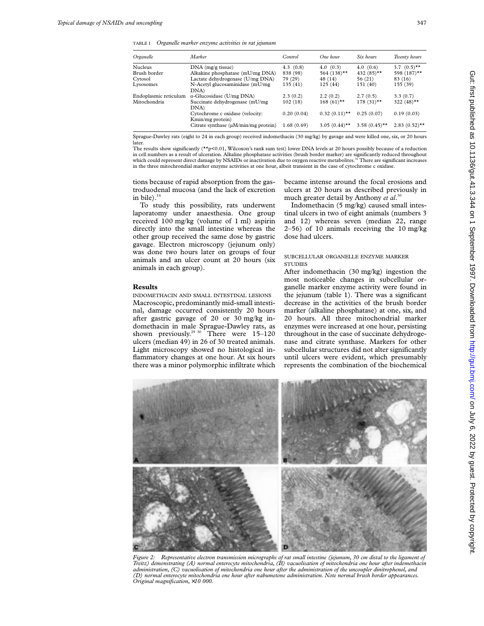TABLE I *Organelle marker enzyme activities in rat jejunum*

| Organelle             | Marker                                    | Control    | One hour         | Six hours        | Twenty hours              |
|-----------------------|-------------------------------------------|------------|------------------|------------------|---------------------------|
| <b>Nucleus</b>        | $DNA$ (mg/g tissue)                       | 4.3(0.8)   | 4.0(0.3)         | 4.0(0.6)         | 3.7 $(0.5)$ <sup>**</sup> |
| Brush border          | Alkakine phosphatase (mU/mg DNA)          | 838 (98)   | 564 $(138)$ **   | 432 $(85)$ **    | 598 (187)**               |
| Cytosol               | Lactate dehydrogenase (U/mg DNA)          | 79 (29)    | 48 (14)          | 56 (21)          | 83 (16)                   |
| Lysosomes             | N-Acetyl glucosaminidase (mU/mg)          | 135 (41)   | 125(44)          | 151 (40)         | 155(39)                   |
|                       | DNA)                                      |            |                  |                  |                           |
| Endoplasmic reticulum | $\alpha$ -Glucosidase (U/mg DNA)          | 2.3(0.2)   | 2.2(0.2)         | 2.7(0.5)         | 3.3(0.7)                  |
| Mitochondria          | Succinate dehydrogenase (mU/mg)           | 102(18)    | $168(61)$ **     | $178(31)$ **     | 322 $(48)$ **             |
|                       | DNA)                                      |            |                  |                  |                           |
|                       | Cytochrome c oxidase (velocity:           | 0.20(0.04) | $0.32(0.11)$ **  | 0.25(0.07)       | 0.19(0.03)                |
|                       | Kmin/mg protein)                          |            |                  |                  |                           |
|                       | Citrate synthase $(\mu M/min/mg$ protein) | 1.68(0.69) | 3.05 $(0.44)$ ** | 3.58 $(0.45)$ ** | $2.83(0.52)$ **           |

Sprague-Dawley rats (eight to 24 in each group) received indomethacin (30 mg/kg) by gavage and were killed one, six, or 20 hours later.

The results show significantly (\*\*p<0.01, Wilcoxon's rank sum test) lower DNA levels at 20 hours possibly because of a reduction in cell numbers as a result of ulceration. Alkaline phosphatase activities (brush border marker) are significantly reduced throughout which could represent direct damage by NSAIDs or inactivation due to oxygen reactive metabolites.<sup>31</sup> There are significant increases in the three mitochrondial marker enzyme activities at one hour, albeit transient in the case of cytochrome c oxidase.

tions because of rapid absorption from the gastroduodenal mucosa (and the lack of excretion in bile). $14$ 

To study this possibility, rats underwent laporatomy under anaesthesia. One group received 100 mg/kg (volume of 1 ml) aspirin directly into the small intestine whereas the other group received the same dose by gastric gavage. Electron microscopy (jejunum only) was done two hours later on groups of four animals and an ulcer count at 20 hours (six animals in each group).

## **Results**

INDOMETHACIN AND SMALL INTESTINAL LESIONS Macroscopic, predominantly mid-small intestinal, damage occurred consistently 20 hours after gastric gavage of 20 or 30 mg/kg indomethacin in male Sprague-Dawley rats, as shown previously.<sup>29 30</sup> There were 15–120 ulcers (median 49) in 26 of 30 treated animals. Light microscopy showed no histological inflammatory changes at one hour. At six hours there was a minor polymorphic infiltrate which became intense around the focal erosions and ulcers at 20 hours as described previously in much greater detail by Anthony *et al*. 30

Indomethacin (5 mg/kg) caused small intestinal ulcers in two of eight animals (numbers 3 and 12) whereas seven (median 22, range 2–56) of 10 animals receiving the 10 mg/kg dose had ulcers.

# SUBCELLULAR ORGANELLE ENZYME MARKER **STUDIES**

After indomethacin (30 mg/kg) ingestion the most noticeable changes in subcellular organelle marker enzyme activity were found in the jejunum (table 1). There was a significant decrease in the activities of the brush border marker (alkaline phosphatase) at one, six, and 20 hours. All three mitochondrial marker enzymes were increased at one hour, persisting throughout in the case of succinate dehydrogenase and citrate synthase. Markers for other subcellular structures did not alter significantly until ulcers were evident, which presumably represents the combination of the biochemical



*Figure 2: Representative electron transmission micrographs of rat small intestine (jejunum, 30 cm distal to the ligament of Treitz) demonstrating (A) normal enterocyte mitochondria, (B) vacuolisation of mitochondria one hour after indomethacin administration, (C) vacuolisation of mitochondria one hour after the administration of the uncoupler dinitrophenol, and (D) normal enterocyte mitochondria one hour after nabumetone administration. Note normal brush border appearances. Original magnification,* ×*10 000.*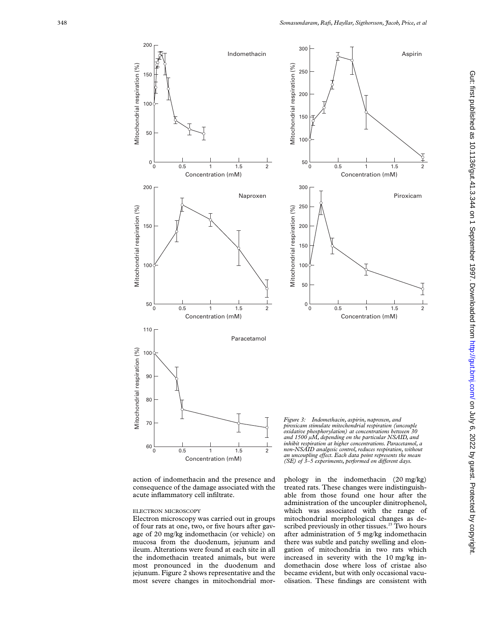

action of indomethacin and the presence and consequence of the damage associated with the acute inflammatory cell infiltrate.

#### ELECTRON MICROSCOPY

Electron microscopy was carried out in groups of four rats at one, two, or five hours after gavage of 20 mg/kg indomethacin (or vehicle) on mucosa from the duodenum, jejunum and ileum. Alterations were found at each site in all the indomethacin treated animals, but were most pronounced in the duodenum and jejunum. Figure 2 shows representative and the most severe changes in mitochondrial mor-

*and 1500 µM, depending on the particular NSAID, and inhibit respiration at higher concentrations. Paracetamol, a non-NSAID analgesic control, reduces respiration, without an uncoupling eVect. Each data point represents the mean (SE) of 3–5 experiments, performed on different days.* 

phology in the indomethacin (20 mg/kg) treated rats. These changes were indistinguishable from those found one hour after the administration of the uncoupler dinitrophenol, which was associated with the range of mitochondrial morphological changes as described previously in other tissues.<sup>23</sup> Two hours after administration of 5 mg/kg indomethacin there was subtle and patchy swelling and elongation of mitochondria in two rats which increased in severity with the 10 mg/kg indomethacin dose where loss of cristae also became evident, but with only occasional vacuolisation. These findings are consistent with

2

Î

2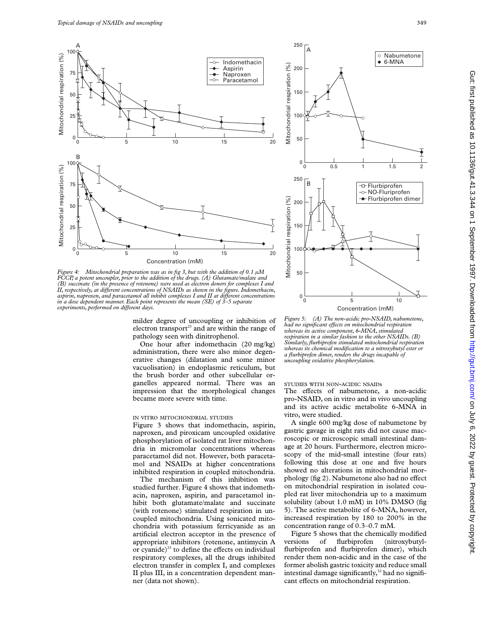

*Figure 4: Mitochondrial preparation was as in fig 3, but with the addition of 0.1 µM FCCP, a potent uncoupler, prior to the addition of the drugs. (A) Glutamate/malate and (B) succinate (in the presence of rotenone) were used as electron donors for complexes I and II, respectively, at diVerent concentrations of NSAIDs as shown in the figure. Indomethacin, aspirin, naproxen, and paracetamol all inhibit complexes I and II at diVerent concentrations in a dose dependent manner. Each point represents the mean (SE) of 3–5 separate experiments, performed on different days.* 

milder degree of uncoupling or inhibition of electron transport<sup>23</sup> and are within the range of pathology seen with dinitrophenol.

One hour after indomethacin (20 mg/kg) administration, there were also minor degenerative changes (dilatation and some minor vacuolisation) in endoplasmic reticulum, but the brush border and other subcellular organelles appeared normal. There was an impression that the morphological changes became more severe with time.

#### IN VITRO MITOCHONDRIAL STUDIES

Figure 3 shows that indomethacin, aspirin, naproxen, and piroxicam uncoupled oxidative phosphorylation of isolated rat liver mitochondria in micromolar concentrations whereas paracetamol did not. However, both paracetamol and NSAIDs at higher concentrations inhibited respiration in coupled mitochondria.

The mechanism of this inhibition was studied further. Figure 4 shows that indomethacin, naproxen, aspirin, and paracetamol inhibit both glutamate/malate and succinate (with rotenone) stimulated respiration in uncoupled mitochondria. Using sonicated mitochondria with potassium ferricyanide as an artificial electron acceptor in the presence of appropriate inhibitors (rotenone, antimycin A or cyanide)<sup>23</sup> to define the effects on individual respiratory complexes, all the drugs inhibited electron transfer in complex I, and complexes II plus III, in a concentration dependent manner (data not shown).



*Figure 5: (A) The non-acidic pro-NSAID, nabumetone, had no significant eVects on mitochondrial respiration whereas its active component, 6-MNA, stimulated respiration in a similar fashion to the other NSAIDs. (B) Similarly, flurbiprofen stimulated mitochondrial respiration whereas its chemical modification to a nitroxybutyl ester or a flurbiprofen dimer, renders the drugs incapable of uncoupling oxidative phosphorylation.*

## STUDIES WITH NON-ACIDIC NSAIDs

The effects of nabumetone, a non-acidic pro-NSAID, on in vitro and in vivo uncoupling and its active acidic metabolite 6-MNA in vitro, were studied.

A single 600 mg/kg dose of nabumetone by gastric gavage in eight rats did not cause macroscopic or microscopic small intestinal damage at 20 hours. Furthermore, electron microscopy of the mid-small intestine (four rats) following this dose at one and five hours showed no alterations in mitochondrial morphology (fig 2). Nabumetone also had no effect on mitochondrial respiration in isolated coupled rat liver mitochondria up to a maximum solubility (about 1.0 mM) in 10% DMSO (fig 5). The active metabolite of 6-MNA, however, increased respiration by 180 to 200% in the concentration range of 0.3–0.7 mM.

Figure 5 shows that the chemically modified versions of flurbiprofen (nitroxybutylflurbiprofen and flurbiprofen dimer), which render them non-acidic and in the case of the former abolish gastric toxicity and reduce small intestinal damage significantly, $32$  had no significant effects on mitochondrial respiration.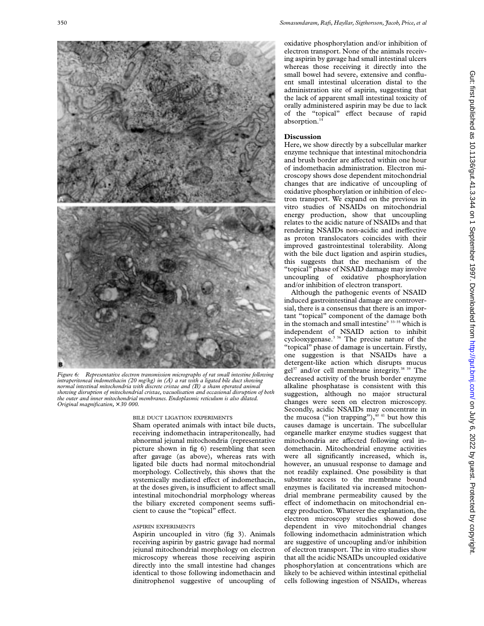

*Figure 6: Representative electron transmission micrographs of rat small intestine following intraperitoneal indomethacin (20 mg/kg) in (A) a rat with a ligated bile duct showing normal intestinal mitochondria with discrete cristae and (B) a sham operated animal showing disruption of mitochondrial cristae, vacuolisation and occasional disruption of both the outer and inner mitochondrial membranes. Endoplasmic reticulum is also dilated. Original magnification,* × *30 000.*

BILE DUCT LIGATION EXPERIMENTS

Sham operated animals with intact bile ducts, receiving indomethacin intraperitoneally, had abnormal jejunal mitochondria (representative picture shown in fig 6) resembling that seen after gavage (as above), whereas rats with ligated bile ducts had normal mitochondrial morphology. Collectively, this shows that the systemically mediated effect of indomethacin, at the doses given, is insufficient to affect small intestinal mitochondrial morphology whereas the biliary excreted component seems sufficient to cause the "topical" effect.

# ASPIRIN EXPERIMENTS

Aspirin uncoupled in vitro (fig 3). Animals receiving aspirin by gastric gavage had normal jejunal mitochondrial morphology on electron microscopy whereas those receiving aspirin directly into the small intestine had changes identical to those following indomethacin and dinitrophenol suggestive of uncoupling of oxidative phosphorylation and/or inhibition of electron transport. None of the animals receiving aspirin by gavage had small intestinal ulcers whereas those receiving it directly into the small bowel had severe, extensive and confluent small intestinal ulceration distal to the administration site of aspirin, suggesting that the lack of apparent small intestinal toxicity of orally administered aspirin may be due to lack of the "topical" effect because of rapid absorption.<sup>14</sup>

#### **Discussion**

Here, we show directly by a subcellular marker enzyme technique that intestinal mitochondria and brush border are affected within one hour of indomethacin administration. Electron microscopy shows dose dependent mitochondrial changes that are indicative of uncoupling of oxidative phosphorylation or inhibition of electron transport. We expand on the previous in vitro studies of NSAIDs on mitochondrial energy production, show that uncoupling relates to the acidic nature of NSAIDs and that rendering NSAIDs non-acidic and ineffective as proton translocators coincides with their improved gastrointestinal tolerability. Along with the bile duct ligation and aspirin studies, this suggests that the mechanism of the "topical" phase of NSAID damage may involve uncoupling of oxidative phosphorylation and/or inhibition of electron transport.

Although the pathogenic events of NSAID induced gastrointestinal damage are controversial, there is a consensus that there is an important "topical" component of the damage both in the stomach and small intestine<sup>9 33–35</sup> which is independent of NSAID action to inhibit cyclooxygenase.3 36 The precise nature of the "topical" phase of damage is uncertain. Firstly, one suggestion is that NSAIDs have a detergent-like action which disrupts mucus gel<sup>37</sup> and/or cell membrane integrity.<sup>38 39</sup> The decreased activity of the brush border enzyme alkaline phosphatase is consistent with this suggestion, although no major structural changes were seen on electron microscopy. Secondly, acidic NSAIDs may concentrate in the mucosa ("ion trapping"), $40\frac{41}{1}$  but how this causes damage is uncertain. The subcellular organelle marker enzyme studies suggest that mitochondria are affected following oral indomethacin. Mitochondrial enzyme activities were all significantly increased, which is, however, an unusual response to damage and not readily explained. One possibility is that substrate access to the membrane bound enzymes is facilitated via increased mitochondrial membrane permeability caused by the effect of indomethacin on mitochondrial energy production. Whatever the explanation, the electron microscopy studies showed dose dependent in vivo mitochondrial changes following indomethacin administration which are suggestive of uncoupling and/or inhibition of electron transport. The in vitro studies show that all the acidic NSAIDs uncoupled oxidative phosphorylation at concentrations which are likely to be achieved within intestinal epithelial cells following ingestion of NSAIDs, whereas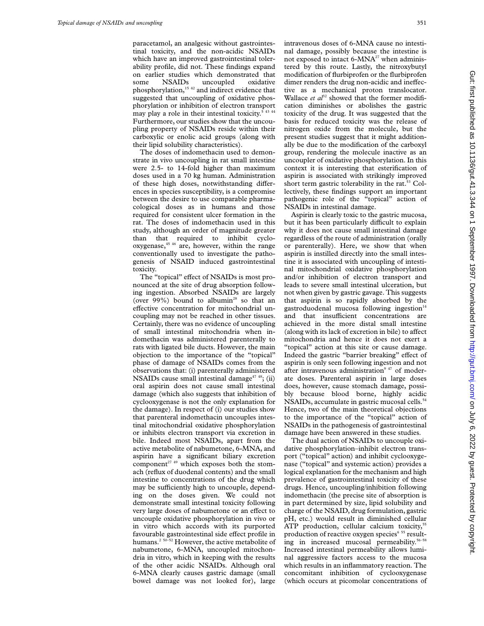paracetamol, an analgesic without gastrointestinal toxicity, and the non-acidic NSAIDs which have an improved gastrointestinal tolerability profile, did not. These findings expand on earlier studies which demonstrated that some NSAIDs uncoupled oxidative phosphorylation,15 42 and indirect evidence that suggested that uncoupling of oxidative phosphorylation or inhibition of electron transport may play a role in their intestinal toxicity.<sup>5 43 44</sup> Furthermore, our studies show that the uncoupling property of NSAIDs reside within their carboxylic or enolic acid groups (along with their lipid solubility characteristics).

The doses of indomethacin used to demonstrate in vivo uncoupling in rat small intestine were 2.5- to 14-fold higher than maximum doses used in a 70 kg human. Administration of these high doses, notwithstanding differences in species susceptibility, is a compromise between the desire to use comparable pharmacological doses as in humans and those required for consistent ulcer formation in the rat. The doses of indomethacin used in this study, although an order of magnitude greater than that required to inhibit cyclooxygenase,<sup>45 46</sup> are, however, within the range conventionally used to investigate the pathogenesis of NSAID induced gastrointestinal toxicity.

The "topical" effect of NSAIDs is most pronounced at the site of drug absorption following ingestion. Absorbed NSAIDs are largely (over  $99\%$ ) bound to albumin<sup>28</sup> so that an effective concentration for mitochondrial uncoupling may not be reached in other tissues. Certainly, there was no evidence of uncoupling of small intestinal mitochondria when indomethacin was administered parenterally to rats with ligated bile ducts. However, the main objection to the importance of the "topical" phase of damage of NSAIDs comes from the observations that: (i) parenterally administered NSAIDs cause small intestinal damage<sup>47</sup> <sup>48</sup>; (ii) oral aspirin does not cause small intestinal damage (which also suggests that inhibition of cyclooxygenase is not the only explanation for the damage). In respect of (i) our studies show that parenteral indomethacin uncouples intestinal mitochondrial oxidative phosphorylation or inhibits electron transport via excretion in bile. Indeed most NSAIDs, apart from the active metabolite of nabumetone, 6-MNA, and aspirin have a significant biliary excretion component<sup>27 49</sup> which exposes both the stomach (reflux of duodenal contents) and the small intestine to concentrations of the drug which may be sufficiently high to uncouple, depending on the doses given. We could not demonstrate small intestinal toxicity following very large doses of nabumetone or an effect to uncouple oxidative phosphorylation in vivo or in vitro which accords with its purported favourable gastrointestinal side effect profile in humans.<sup>2 50–52</sup> However, the active metabolite of nabumetone, 6-MNA, uncoupled mitochondria in vitro, which in keeping with the results of the other acidic NSAIDs. Although oral 6-MNA clearly causes gastric damage (small bowel damage was not looked for), large

intravenous doses of 6-MNA cause no intestinal damage, possibly because the intestine is not exposed to intact  $6\text{-}MNA^{27}$  when administered by this route. Lastly, the nitroxybutyl modification of flurbiprofen or the flurbiprofen dimer renders the drug non-acidic and ineffective as a mechanical proton translocator. Wallace *et*  $a^{32}$  showed that the former modification diminishes or abolishes the gastric toxicity of the drug. It was suggested that the basis for reduced toxicity was the release of nitrogen oxide from the molecule, but the present studies suggest that it might additionally be due to the modification of the carboxyl group, rendering the molecule inactive as an uncoupler of oxidative phosphorylation. In this context it is interesting that esterification of aspirin is associated with strikingly improved short term gastric tolerability in the rat.<sup>53</sup> Collectively, these findings support an important pathogenic role of the "topical" action of NSAIDs in intestinal damage.

Aspirin is clearly toxic to the gastric mucosa, but it has been particularly difficult to explain why it does not cause small intestinal damage regardless of the route of administration (orally or parenterally). Here, we show that when aspirin is instilled directly into the small intestine it is associated with uncoupling of intestinal mitochondrial oxidative phosphorylation and/or inhibition of electron transport and leads to severe small intestinal ulceration, but not when given by gastric gavage. This suggests that aspirin is so rapidly absorbed by the gastroduodenal mucosa following ingestion $14$ and that insufficient concentrations are achieved in the more distal small intestine (along with its lack of excretion in bile) to affect mitochondria and hence it does not exert a "topical" action at this site or cause damage. Indeed the gastric "barrier breaking" effect of aspirin is only seen following ingestion and not after intravenous administration<sup>9 47</sup> of moderate doses. Parenteral aspirin in large doses does, however, cause stomach damage, possibly because blood borne, highly acidic NSAIDs, accumulate in gastric mucosal cells.<sup>54</sup> Hence, two of the main theoretical objections to the importance of the "topical" action of NSAIDs in the pathogenesis of gastrointestinal damage have been answered in these studies.

The dual action of NSAIDs to uncouple oxidative phosphorylation–inhibit electron transport ("topical" action) and inhibit cyclooxygenase ("topical" and systemic action) provides a logical explanation for the mechanism and high prevalence of gastrointestinal toxicity of these drugs. Hence, uncoupling/inhibition following indomethacin (the precise site of absorption is in part determined by size, lipid solubility and charge of the NSAID, drug formulation, gastric pH, etc.) would result in diminished cellular ATP production, cellular calcium toxicity, $55$ production of reactive oxygen species<sup>6 55</sup> resulting in increased mucosal permeability.56–58 Increased intestinal permeability allows luminal aggressive factors access to the mucosa which results in an inflammatory reaction. The concomitant inhibition of cyclooxygenase (which occurs at picomolar concentrations of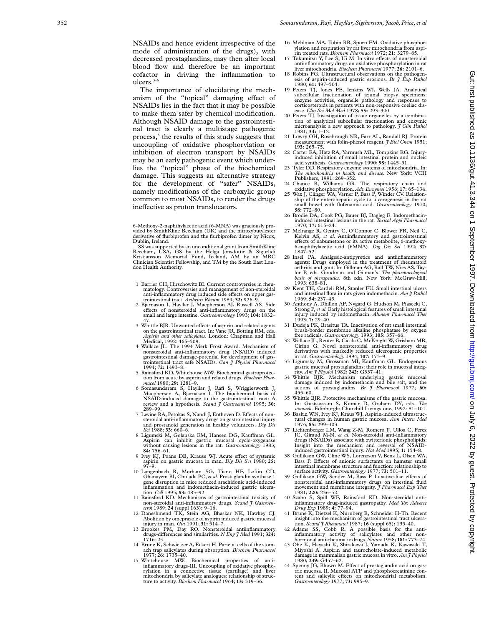NSAIDs and hence evident irrespective of the mode of administration of the drugs), with decreased prostaglandins, may then alter local blood flow and therefore be an important cofactor in driving the inflammation to ulcers.<sup>3-6</sup>

The importance of elucidating the mechanism of the "topical" damaging effect of NSAIDs lies in the fact that it may be possible to make them safer by chemical modification. Although NSAID damage to the gastrointestinal tract is clearly a multistage pathogenic process, <sup>6</sup> the results of this study suggests that uncoupling of oxidative phosphorylation or inhibition of electron transport by NSAIDs may be an early pathogenic event which underlies the "topical" phase of the biochemical damage. This suggests an alternative strategy for the development of "safer" NSAIDs, namely modifications of the carboxylic group common to most NSAIDs, to render the drugs ineffective as proton translocators.

6-Methoxy-2-naphthylacetic acid (6-MNA) was graciously provided by SmithKline Beecham (UK) and the nitroxybutylester derivative of flurbiprofen and the flurbiprofen dimer by Nicox, Dublin, Ireland.

SS was supported by an unconditional grant from SmithKline Beecham, USA, GS by the Helga Jonsdottir & Sigurlidi Kristjansson Memorial Fund, Iceland, AM by an MRC Clinician Scientist Fellowship, and TM by the South East London Health Authority.

- 1 Barrier CH, Hirschowitz BI. Current controversies in rheumatology. Controversies and management of non-steroidal anti-inflammatory drug induced side effects on upper gas-
- trointestinal tract. *Arthritis Rheum* 1989; **32:** 926–9. 2 Bjarnason I, Hayllar J, Macpherson AJ, Russell AS. Side effects of nonsteroidal anti-inflammatory drugs on the small and large intestine. *Gastroenterology* 1993; 104: 1832– 47.
- 3 Whittle BJR. Unwanted e Vects of aspirin and related agents on the gastrointestinal tract. In: Vane JR, Botting RM, eds. *Aspirin and other salicylates*. London: Chapman and Hall Medical, 1992: 465–509.
- 4 Wallace JL. The 1994 Merk Frost Award. Mechanism of nonsteroidal anti-inflammatory drug (NSAID) induced gastrointestinal damage-potential for development of gastrointestinal tract safe NSAIDs. *Can J Physiol Pharmacol* 1994; **72:** 1493–8.
- 5 Rainsford KD, Whitehouse MW. Biochemical gastroprotec-tion from acute by aspirin and related drugs. *Biochem Pharmacol* 1980; **29:** 1281–9.
- 6 Somasundaram S, Hayllar J, Rafi S, Wrigglesworth J, Macpherson A, Bjarnason I. The biochemical basis of NSAID-induced damage to the gastrointestinal tract: A review and a hypothesis. Scand J Gastroenterol 1995; 30: 289–99.
- 7 Levine RA, Petokas S, Nandi J, Enthoven D. Effects of nonsteroidal anti-inflammatory drugs on gastrointestinal injury and prostanoid generation in healthy volunteers. *Dig Dis Sci* 1988; **33:** 660–6.
- 8 Ligumski M, Golanska EM, Hansen DG, Kauffman GL. Aspirin can inhibit gastric mucosal cyclo-oxygenase without causing lesions in the rat. *Gastroenterology* 1983; **84:** 756–61.
- 9 Ivey KJ, Poane DB, Krause WJ. Acute effect of systemic aspirin on gastric mucosa in man. *Dig Dis Sci* 1980; **25:**  $97-9$
- 10 Langenbach R, Morham SG, Tiano HF, Loftin CD, Ghanayem BI, Chulada PC, *et al*. Prostaglandin synthase 1 gene disruption in mice reduced arachidonic acid-induced inflammation and indomethacin-induced gastric ulceration. *Cell* 1995; **83:** 483–92.
- 11 Rainsford KD. Mechanisms of gastrointestinal toxicity of non-steroidal anti-inflammatory drugs. *Scand J Gastroen-*
- *terol* 1989; **24** (suppl 163)**:** 9–16. 12 Daneshmend TK, Stein AG, Bhaskar NK, Hawkey CJ.
- Abolition by omeprazole of aspirin induced gastric mucosal<br>injury in man. Gut 1991; 31: 514–7.<br>13 Brookes PM, Day RO. Nonsteroidal antiinflammatory<br>drugs-differences and similarities. N Eng J Med 1991; 324: 1716–25.
- 14 Brune K, Schwietzer A, Eckert H. Parietal cells of the stomach trap salicylates during absorption. *Biochem Pharmacol* 1977; **26:** 1735–40.
- 15 Whitehouse MW. Biochemical properties of anti-inflammatory drugs-III. Uncoupling of oxidative phospho-rylation in a connective tissue (cartilage) and liver mitochondria by salicylate analogues: relationship of structure to activity. *Biochem Pharmacol* 1964; **13:** 319–36.
- 16 Mehlman MA, Tobin RB, Sporn EM. Oxidative phosphorylation and respiration by rat liver mitochondria from aspirin treated rats. *Biochem Pharmacol* 1972; **21:** 3279–85.
- 17 Tokumitsu Y, Lee S, Ui M. In vitro effects of nonsteroidal antiinflammatory drugs on oxidative phosphorylation in rat<br>liver mitochondria. *Biochem Pharmacol* 1977; **26:** 2101–6.
- 18 Robins PG. Ultrastructural observations on the pathogenesis of aspirin-induced gastric erosions. *Br J Exp Pathol* 1980; **61:** 497–504.
- 19 Peters TJ, Jones PE, Jenkins WJ, Wells JA. Analytical subcellular fractionation of jejunal biopsy specimens: enzyme activities, organelle pathology and responses to corticosteroids in patients with non-responsive coeliac dis-ease. *Clin Sci Mol Med* 1978; **55:** 293–300.
- 20 Peters TJ. Investigation of tissue organelles by a combination of analytical subcellular fractionation and enzymic microanalysis: a new approach to pathology*. J Clin Pathol* 1981; **34:** 1–12.
- 21 Lowry OH, Rosebrough NR, Farr AL, Randall RJ. Protein measurement with folin-phenol reagent*. J Biol Chem* 1951; **193:** 265–75.
- Carter EA, Hatz RA, Yarmush ML, Tompkins RG. Injuryinduced inhibition of small intestinal protein and nucleic acid synthesis. *Gastroenterology* 1990; **98:** 1445–51.
- 23 Tyler DD. Respiratory enzyme systems of mitochondria. In: *The mitochondria in health and disease*. New York: VCH Publishers, 1991: 269–352.
- 24 Chance B, Williams GR. The respiratory chain and
- oxidative phosphorylation. *Adv Enzymol* 1956; **17:** 65–134. 25 Wax J, Clinger WA, Varner P, Bass P, Winder CV. Relationship of the enterohepatic cycle to ulcerogenesis in the rat small bowel with flufenamic acid. *Gastroenterology* 1970; **58:** 772–80.
- 26 Brodie DA, Cook PG, Bauer BJ, Dagleg E. Indomethacininduced intestinal lesions in the rat*. Toxicol Appl Pharmacol* 1970; **17:** 615–24.
- 27 Melrange R, Gentry C, O'Connor C, Blower PR, Neil C, Kelvin AS, *et al*. Antiinflammatory and gastrointestinal eVects of nabumetone or its active metabolite, 6-methoxy-6-naphthylacetic acid (6MNA). *Dig Dis Sci* 1992; **37:**  $1847 - 52.$ <br>28 Insel PA.
- 28 Insel PA. Analgesic-antipyretics and antiinflammatory agents: Drugs employed in the treatment of rheumatoid arthritis and gout. In: Gillman AG, Rall TW, Nies AS, Taylor P, eds. Goodman and Gilman's. *The pharmacological basis of therapeutics*. 8th edn. New York: McGraw-Hill, 1993: 638–81.
- 29 Kent TH, Cardeli RM, Stanler FU. Small intestinal ulcers and intestinal flora in rats given indomethacin. *Am J Pathol* 1969; **54:** 237–45.
- 30 Anthony A, Dhillon AP, Nygard G, Hudson M, Piasecki C, Strong P, *et al*. Early histological features of small intestinal injury induced by indomethacin. *Aliment Pharmacol Ther* 1993; **7:** 29–40.
- 31 Dudeja PK, Brasitus TA. Inactivation of rat small intestinal brush-border membrane alkaline phosphatase by oxygen free radicals. *Gastroenterology* 1993; **105:** 357–66.
- 32 Wallace JL, Reuter B, Cicala C, McKnight W, Grisham MB, G. Novel nonsteroidal anti-inflammatory drug derivatives with markedly reduced ulcerogenic properties in rat. *Gastroenterology* 1994; **107:** 173–9.
- 33 Ligumsky M, Grossman MI, Kauffman GL. Endogenous gastric mucosal prostaglandins: their role in mucosal integrity. *Am J Physiol* 1982; **242:** G337–41.
- 34 Whittle BJR. Mechanism underlying gastric mucosal damage induced by indomethacin and bile salt, and the actions of prostaglandins. *Br J Pharmacol* 1977; **60:** 455–60.
- Whittle BJR. Protective mechanisms of the gastric mucosa In: Gustsavsson S, Kumar D, Graham DY, eds. *The stomach*. Edinburgh: Churchill Livingstone, 1992: 81–101.
- 36 Baskin WN, Ivey KJ, Kraus WJ. Aspirin-induced ultrastructural changes in human gastric mucosa. *Ann Intern Med* 1976; **85:** 299–303.
- 37 Lichtenberger LM, Wang Z-M, Romero JJ, Ulloa C, Perez JC, Giraud M-N, *et al*. Non-steroidal anti-inflammatory drugs (NSAIDs) associate with zwitterionic phospholipids: Insight into the mechanism and reversal of NSAIDinduced gastrointestinal injury. *Nat Med* 1995; **1:** 154–8.
- 38 Gullikson GW, Cline WS, Lorenzson V, Benz L, Olsen WA, Bass P. Effects of anionic surfactants on hamster small intestinal membrane structure and function: relationship to surface activity. *Gastroenterology* 1977; **73:** 501–11.
- 39 Gullikson GW, Sender M, Bass P. Laxative-like effects of nonsteroidal anti-inflammatory drugs on intestinal fluid movement and membrane integrity. *J Pharmacol Exp Ther* 1981; **220:** 236–52.
- 40 Szabo S, Spill WF, Rainsford KD. Non-steroidal anti-inflammatory drug-induced gastropathy. *Med Tox Adverse Drug Exp* 1989; **4:** 77–94.
- 41 Brune K, Dietzel K, Nurnberg B, Schneider H-Th. Recent insight into the mechanism of gastrointestinal tract ulceration. Scand J Rheumatol 1987; 16 (suppl 65): 135–40.<br>42 Adams SS, Cobb R. A possible basis for the anti-inflammatory activity of salicylates and other non-
- 
- hormonal anti-rheumatic drugs. *Nature* 1958; **181:** 773–74. 43 Ohe K, Hayashi K, Shirakawa J, Yamada K, Kawasaki T, Miyoshi A. Aspirin and taurocholate-induced metabolic damage in mammalian gastric mucosa in vitro*. Am J Physiol* 1980; **239:** G457–62.
- 44 Spenny JG, Bhown M. Effect of prostaglandin acid on gastric mucosa. II. Mucosal ATP and phosphocreatinine content and salicylic effects on mitochondrial metabolism. *Gastroenterology* 1977; **73:** 995–9.